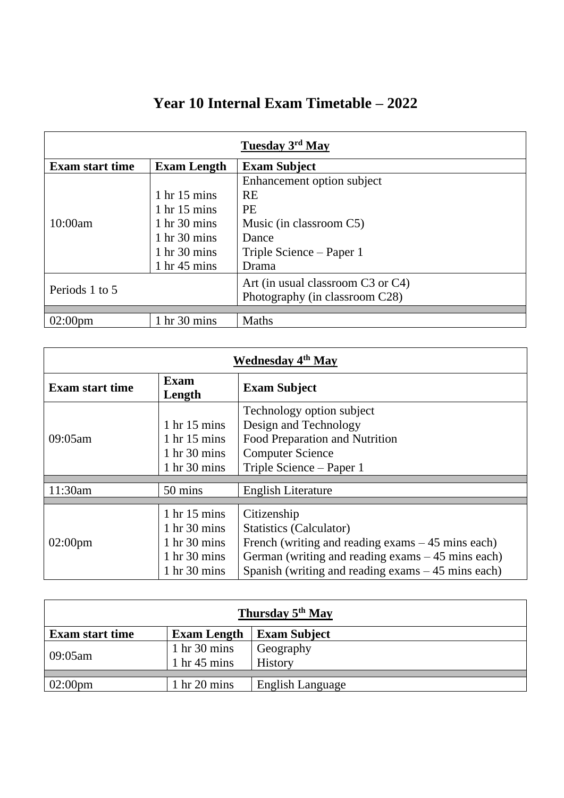|  | Year 10 Internal Exam Timetable – 2022 |  |
|--|----------------------------------------|--|
|  |                                        |  |

| Tuesday 3rd May        |                                 |                                   |  |  |
|------------------------|---------------------------------|-----------------------------------|--|--|
| <b>Exam start time</b> | <b>Exam Length</b>              | <b>Exam Subject</b>               |  |  |
|                        |                                 | Enhancement option subject        |  |  |
|                        | $1 \text{ hr} 15 \text{ mins}$  | <b>RE</b>                         |  |  |
|                        | $1 \text{ hr} 15 \text{ mins}$  | <b>PE</b>                         |  |  |
| 10:00am                | $1 \text{ hr} 30 \text{ mins}$  | Music (in classroom C5)           |  |  |
|                        | $1 \text{ hr} 30 \text{ mins}$  | Dance                             |  |  |
|                        | $1 \text{ hr} 30 \text{ mins}$  | Triple Science – Paper 1          |  |  |
|                        | $1 \text{ hr } 45 \text{ mins}$ | Drama                             |  |  |
| Periods 1 to 5         |                                 | Art (in usual classroom C3 or C4) |  |  |
|                        |                                 | Photography (in classroom C28)    |  |  |
|                        |                                 |                                   |  |  |
| $02:00$ pm             | 1 hr 30 mins                    | <b>Maths</b>                      |  |  |

| <b>Wednesday 4th May</b> |                                                                                                                                                                        |                                                                                                                                                                                                           |  |
|--------------------------|------------------------------------------------------------------------------------------------------------------------------------------------------------------------|-----------------------------------------------------------------------------------------------------------------------------------------------------------------------------------------------------------|--|
| <b>Exam start time</b>   | <b>Exam</b><br>Length                                                                                                                                                  | <b>Exam Subject</b>                                                                                                                                                                                       |  |
| 09:05am                  | $1 \text{ hr} 15 \text{ mins}$<br>$1 \text{ hr} 15 \text{ mins}$<br>$1 \text{ hr} 30 \text{ mins}$<br>$1 \text{ hr} 30 \text{ mins}$                                   | Technology option subject<br>Design and Technology<br>Food Preparation and Nutrition<br><b>Computer Science</b><br>Triple Science – Paper 1                                                               |  |
| 11:30am                  | 50 mins                                                                                                                                                                | <b>English Literature</b>                                                                                                                                                                                 |  |
| $02:00 \text{pm}$        | $1 \text{ hr} 15 \text{ mins}$<br>$1 \text{ hr} 30 \text{ mins}$<br>$1 \text{ hr} 30 \text{ mins}$<br>$1 \text{ hr} 30 \text{ mins}$<br>$1 \text{ hr} 30 \text{ mins}$ | Citizenship<br>Statistics (Calculator)<br>French (writing and reading exams $-45$ mins each)<br>German (writing and reading exams $-45$ mins each)<br>Spanish (writing and reading exams $-45$ mins each) |  |

| Thursday 5 <sup>th</sup> May |                                 |                         |  |  |
|------------------------------|---------------------------------|-------------------------|--|--|
| <b>Exam start time</b>       | <b>Exam Length</b>              | <b>Exam Subject</b>     |  |  |
| 09:05am                      | $1 \text{ hr} 30 \text{ mins}$  | Geography               |  |  |
|                              | $1 \text{ hr } 45 \text{ mins}$ | History                 |  |  |
|                              |                                 |                         |  |  |
| $02:00 \text{pm}$            | $1 \text{ hr} 20 \text{ mins}$  | <b>English Language</b> |  |  |